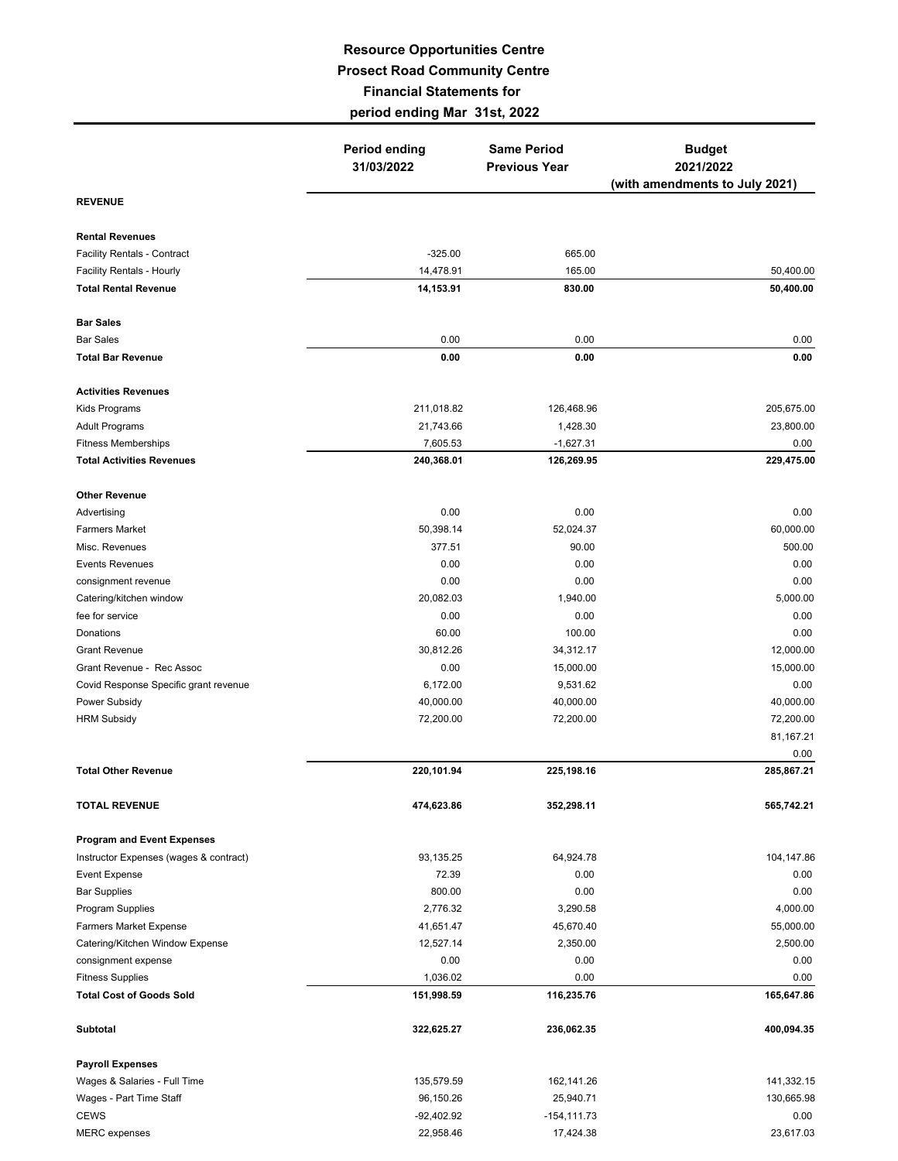## **Resource Opportunities Centre Prosect Road Community Centre Financial Statements for period ending Mar 31st, 2022**

|                                                                             | <b>Period ending</b><br>31/03/2022 | <b>Same Period</b><br><b>Previous Year</b> | <b>Budget</b><br>2021/2022     |  |
|-----------------------------------------------------------------------------|------------------------------------|--------------------------------------------|--------------------------------|--|
|                                                                             |                                    |                                            | (with amendments to July 2021) |  |
| <b>REVENUE</b>                                                              |                                    |                                            |                                |  |
| <b>Rental Revenues</b>                                                      |                                    |                                            |                                |  |
| <b>Facility Rentals - Contract</b>                                          | $-325.00$                          | 665.00                                     |                                |  |
| Facility Rentals - Hourly                                                   | 14,478.91                          | 165.00                                     | 50,400.00                      |  |
| <b>Total Rental Revenue</b>                                                 | 14,153.91                          | 830.00                                     | 50,400.00                      |  |
| <b>Bar Sales</b>                                                            |                                    |                                            |                                |  |
| <b>Bar Sales</b>                                                            | 0.00                               | 0.00                                       | 0.00                           |  |
| <b>Total Bar Revenue</b>                                                    | 0.00                               | 0.00                                       | 0.00                           |  |
| <b>Activities Revenues</b>                                                  |                                    |                                            |                                |  |
| Kids Programs                                                               | 211,018.82                         | 126,468.96                                 | 205,675.00                     |  |
| <b>Adult Programs</b>                                                       | 21,743.66                          | 1,428.30                                   | 23,800.00                      |  |
| <b>Fitness Memberships</b>                                                  | 7,605.53                           | $-1,627.31$                                | 0.00                           |  |
| <b>Total Activities Revenues</b>                                            | 240,368.01                         | 126,269.95                                 | 229,475.00                     |  |
| <b>Other Revenue</b>                                                        |                                    |                                            |                                |  |
| Advertising                                                                 | 0.00                               | 0.00                                       | 0.00                           |  |
| <b>Farmers Market</b>                                                       | 50,398.14                          | 52,024.37                                  | 60,000.00                      |  |
| Misc. Revenues                                                              | 377.51                             | 90.00                                      | 500.00                         |  |
| <b>Events Revenues</b>                                                      | 0.00                               | 0.00                                       | 0.00                           |  |
| consignment revenue                                                         | 0.00                               | 0.00                                       | 0.00                           |  |
| Catering/kitchen window                                                     | 20,082.03                          | 1,940.00                                   | 5,000.00                       |  |
| fee for service                                                             | 0.00                               | 0.00                                       | 0.00                           |  |
| Donations                                                                   | 60.00                              | 100.00                                     | 0.00                           |  |
| <b>Grant Revenue</b>                                                        | 30,812.26                          | 34,312.17                                  | 12,000.00                      |  |
| Grant Revenue - Rec Assoc                                                   | 0.00                               | 15,000.00                                  | 15,000.00                      |  |
| Covid Response Specific grant revenue                                       | 6,172.00                           | 9,531.62                                   | 0.00                           |  |
| Power Subsidy                                                               | 40,000.00                          | 40,000.00                                  | 40,000.00                      |  |
| <b>HRM Subsidy</b>                                                          | 72,200.00                          | 72,200.00                                  | 72,200.00                      |  |
|                                                                             |                                    |                                            | 81,167.21                      |  |
| <b>Total Other Revenue</b>                                                  | 220,101.94                         | 225,198.16                                 | 0.00<br>285,867.21             |  |
| <b>TOTAL REVENUE</b>                                                        | 474,623.86                         | 352,298.11                                 | 565,742.21                     |  |
|                                                                             |                                    |                                            |                                |  |
| <b>Program and Event Expenses</b><br>Instructor Expenses (wages & contract) | 93,135.25                          | 64,924.78                                  | 104,147.86                     |  |
| <b>Event Expense</b>                                                        | 72.39                              | 0.00                                       | 0.00                           |  |
| <b>Bar Supplies</b>                                                         | 800.00                             | 0.00                                       | 0.00                           |  |
| Program Supplies                                                            | 2,776.32                           | 3,290.58                                   | 4,000.00                       |  |
| <b>Farmers Market Expense</b>                                               | 41,651.47                          | 45,670.40                                  | 55,000.00                      |  |
| Catering/Kitchen Window Expense                                             | 12,527.14                          | 2,350.00                                   | 2,500.00                       |  |
| consignment expense                                                         | 0.00                               | 0.00                                       | 0.00                           |  |
| <b>Fitness Supplies</b>                                                     | 1,036.02                           | 0.00                                       | 0.00                           |  |
| <b>Total Cost of Goods Sold</b>                                             | 151,998.59                         | 116,235.76                                 | 165,647.86                     |  |
| Subtotal                                                                    | 322,625.27                         | 236,062.35                                 | 400,094.35                     |  |
| <b>Payroll Expenses</b>                                                     |                                    |                                            |                                |  |
| Wages & Salaries - Full Time                                                | 135,579.59                         | 162,141.26                                 | 141,332.15                     |  |
| Wages - Part Time Staff                                                     | 96,150.26                          | 25,940.71                                  | 130,665.98                     |  |
| <b>CEWS</b>                                                                 | -92,402.92                         | $-154, 111.73$                             | 0.00                           |  |
| <b>MERC</b> expenses                                                        | 22,958.46                          | 17,424.38                                  | 23,617.03                      |  |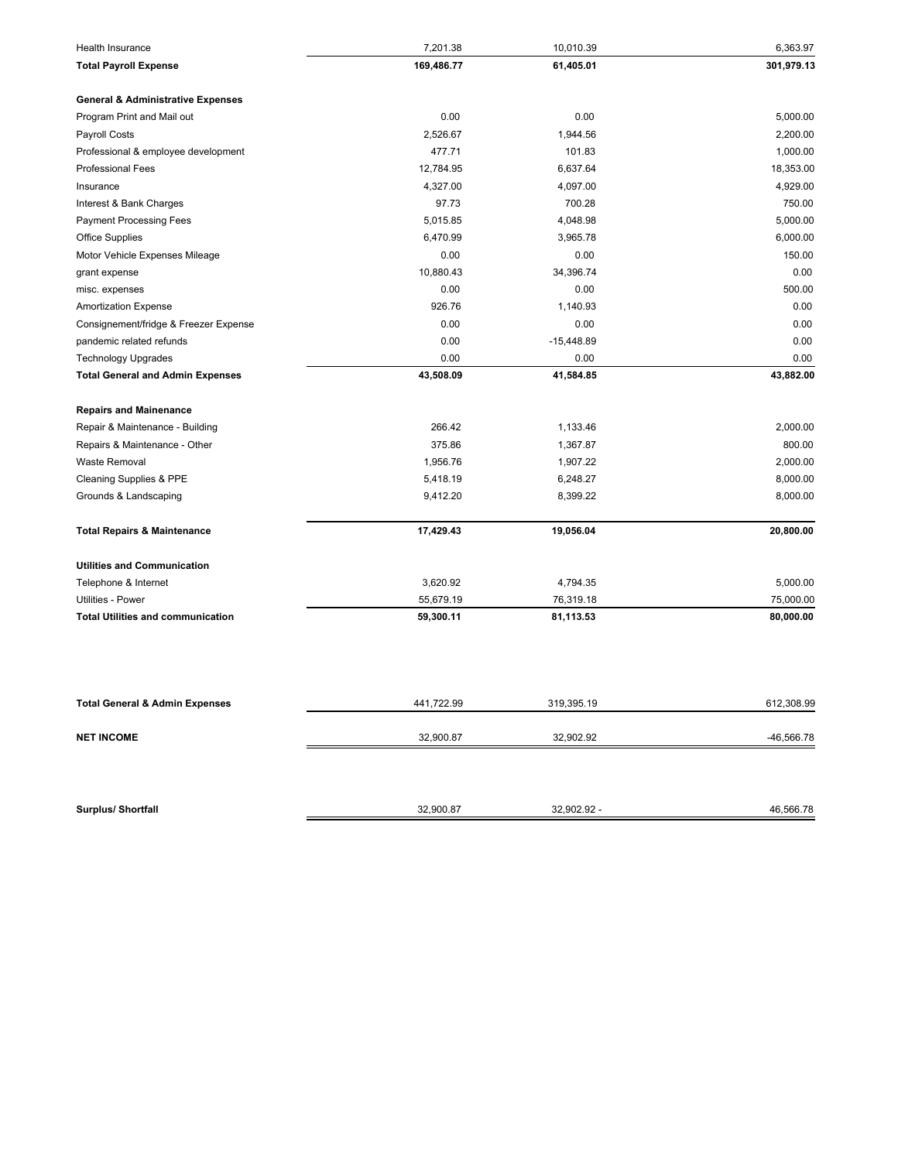| <b>Health Insurance</b>                      | 7,201.38   | 10,010.39    | 6,363.97     |
|----------------------------------------------|------------|--------------|--------------|
| <b>Total Payroll Expense</b>                 | 169,486.77 | 61,405.01    | 301,979.13   |
| <b>General &amp; Administrative Expenses</b> |            |              |              |
| Program Print and Mail out                   | 0.00       | 0.00         | 5,000.00     |
| Payroll Costs                                | 2,526.67   | 1,944.56     | 2,200.00     |
| Professional & employee development          | 477.71     | 101.83       | 1,000.00     |
| <b>Professional Fees</b>                     | 12,784.95  | 6,637.64     | 18,353.00    |
| Insurance                                    | 4,327.00   | 4,097.00     | 4,929.00     |
| Interest & Bank Charges                      | 97.73      | 700.28       | 750.00       |
| <b>Payment Processing Fees</b>               | 5,015.85   | 4,048.98     | 5,000.00     |
| <b>Office Supplies</b>                       | 6,470.99   | 3,965.78     | 6,000.00     |
| Motor Vehicle Expenses Mileage               | 0.00       | 0.00         | 150.00       |
| grant expense                                | 10,880.43  | 34,396.74    | 0.00         |
| misc. expenses                               | 0.00       | 0.00         | 500.00       |
| <b>Amortization Expense</b>                  | 926.76     | 1,140.93     | 0.00         |
| Consignement/fridge & Freezer Expense        | 0.00       | 0.00         | 0.00         |
| pandemic related refunds                     | 0.00       | $-15,448.89$ | 0.00         |
| <b>Technology Upgrades</b>                   | 0.00       | 0.00         | 0.00         |
| <b>Total General and Admin Expenses</b>      | 43,508.09  | 41,584.85    | 43,882.00    |
| <b>Repairs and Mainenance</b>                |            |              |              |
| Repair & Maintenance - Building              | 266.42     | 1,133.46     | 2,000.00     |
| Repairs & Maintenance - Other                | 375.86     | 1,367.87     | 800.00       |
| <b>Waste Removal</b>                         | 1,956.76   | 1,907.22     | 2,000.00     |
| Cleaning Supplies & PPE                      | 5,418.19   | 6,248.27     | 8,000.00     |
| Grounds & Landscaping                        | 9,412.20   | 8,399.22     | 8,000.00     |
| <b>Total Repairs &amp; Maintenance</b>       | 17,429.43  | 19,056.04    | 20,800.00    |
| <b>Utilities and Communication</b>           |            |              |              |
| Telephone & Internet                         | 3,620.92   | 4,794.35     | 5,000.00     |
| Utilities - Power                            | 55,679.19  | 76,319.18    | 75,000.00    |
| <b>Total Utilities and communication</b>     | 59,300.11  | 81,113.53    | 80,000.00    |
|                                              |            |              |              |
| <b>Total General &amp; Admin Expenses</b>    | 441,722.99 | 319,395.19   | 612,308.99   |
| <b>NET INCOME</b>                            | 32,900.87  | 32,902.92    | $-46,566.78$ |
|                                              |            |              |              |
| <b>Surplus/ Shortfall</b>                    | 32,900.87  | 32,902.92 -  | 46,566.78    |